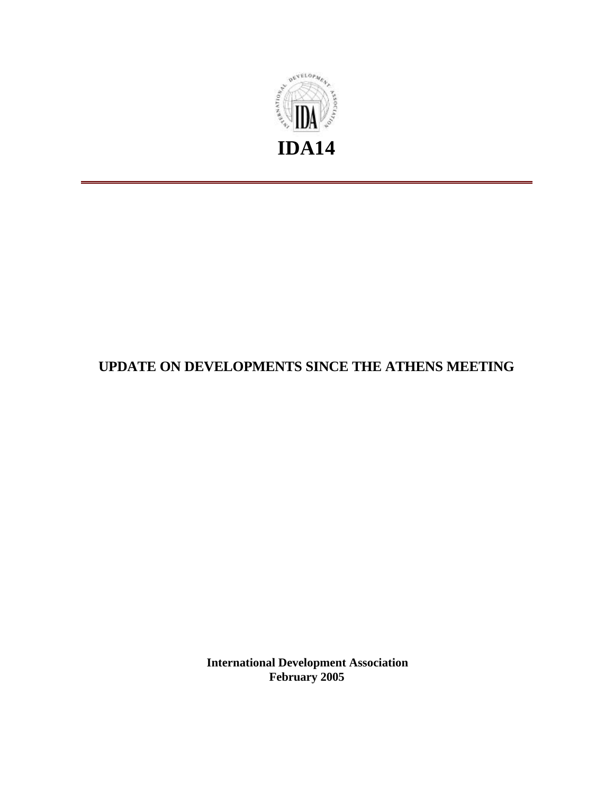

# **UPDATE ON DEVELOPMENTS SINCE THE ATHENS MEETING**

**International Development Association February 2005**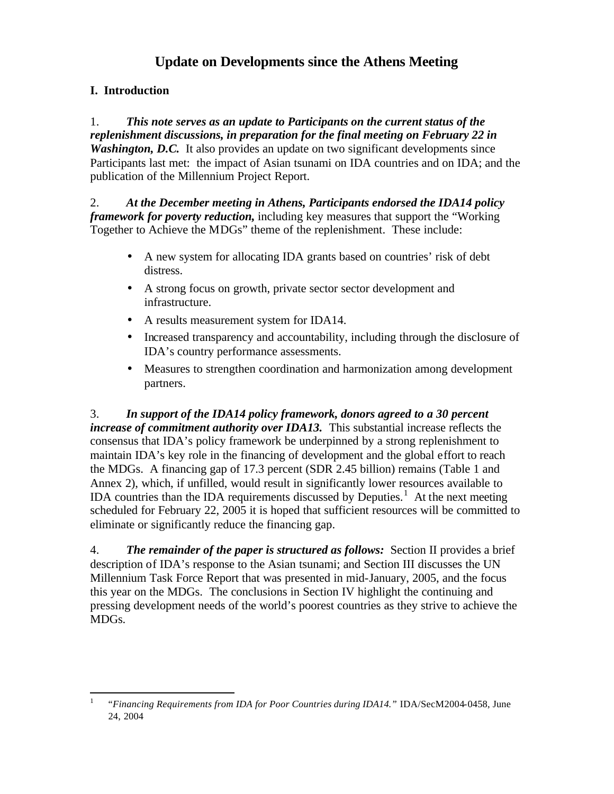# **Update on Developments since the Athens Meeting**

## **I. Introduction**

1. *This note serves as an update to Participants on the current status of the replenishment discussions, in preparation for the final meeting on February 22 in Washington, D.C.* It also provides an update on two significant developments since Participants last met: the impact of Asian tsunami on IDA countries and on IDA; and the publication of the Millennium Project Report.

2. *At the December meeting in Athens, Participants endorsed the IDA14 policy framework for poverty reduction,* including key measures that support the "Working Together to Achieve the MDGs" theme of the replenishment. These include:

- A new system for allocating IDA grants based on countries' risk of debt distress.
- A strong focus on growth, private sector sector development and infrastructure.
- A results measurement system for IDA14.
- Increased transparency and accountability, including through the disclosure of IDA's country performance assessments.
- Measures to strengthen coordination and harmonization among development partners.

3. *In support of the IDA14 policy framework, donors agreed to a 30 percent increase of commitment authority over IDA13.* This substantial increase reflects the consensus that IDA's policy framework be underpinned by a strong replenishment to maintain IDA's key role in the financing of development and the global effort to reach the MDGs. A financing gap of 17.3 percent (SDR 2.45 billion) remains (Table 1 and Annex 2), which, if unfilled, would result in significantly lower resources available to IDA countries than the IDA requirements discussed by Deputies.<sup>1</sup> At the next meeting scheduled for February 22, 2005 it is hoped that sufficient resources will be committed to eliminate or significantly reduce the financing gap.

4. *The remainder of the paper is structured as follows:* Section II provides a brief description of IDA's response to the Asian tsunami; and Section III discusses the UN Millennium Task Force Report that was presented in mid-January, 2005, and the focus this year on the MDGs. The conclusions in Section IV highlight the continuing and pressing development needs of the world's poorest countries as they strive to achieve the MDGs.

 $\frac{1}{1}$ "*Financing Requirements from IDA for Poor Countries during IDA14."* IDA/SecM2004-0458, June 24, 2004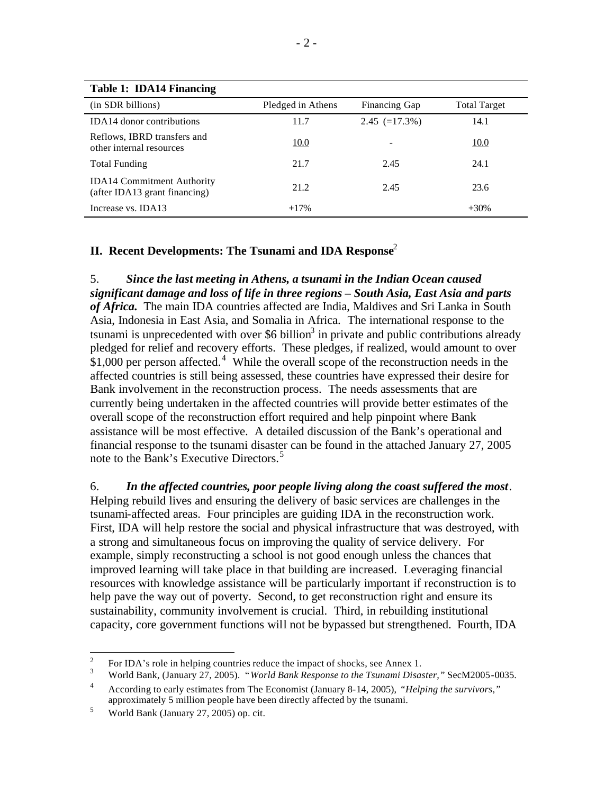| Table 1: IDA14 Financing                                           |                   |                 |                     |
|--------------------------------------------------------------------|-------------------|-----------------|---------------------|
| (in SDR billions)                                                  | Pledged in Athens | Financing Gap   | <b>Total Target</b> |
| <b>IDA14</b> donor contributions                                   | 11.7              | $2.45 (=17.3%)$ | 14.1                |
| Reflows, IBRD transfers and<br>other internal resources            | <u>10.0</u>       |                 | 10.0                |
| <b>Total Funding</b>                                               | 21.7              | 2.45            | 24.1                |
| <b>IDA14 Commitment Authority</b><br>(after IDA13 grant financing) | 21.2              | 2.45            | 23.6                |
| Increase vs. IDA13                                                 | $+17%$            |                 | $+30%$              |

**Table 1: IDA14 Financing**

## **II. Recent Developments: The Tsunami and IDA Response**<sup>2</sup>

5. *Since the last meeting in Athens, a tsunami in the Indian Ocean caused significant damage and loss of life in three regions – South Asia, East Asia and parts of Africa.* The main IDA countries affected are India, Maldives and Sri Lanka in South Asia, Indonesia in East Asia, and Somalia in Africa. The international response to the tsunami is unprecedented with over \$6 billion<sup>3</sup> in private and public contributions already pledged for relief and recovery efforts. These pledges, if realized, would amount to over  $$1,000$  per person affected.<sup>4</sup> While the overall scope of the reconstruction needs in the affected countries is still being assessed, these countries have expressed their desire for Bank involvement in the reconstruction process. The needs assessments that are currently being undertaken in the affected countries will provide better estimates of the overall scope of the reconstruction effort required and help pinpoint where Bank assistance will be most effective. A detailed discussion of the Bank's operational and financial response to the tsunami disaster can be found in the attached January 27, 2005 note to the Bank's Executive Directors.<sup>5</sup>

6. *In the affected countries, poor people living along the coast suffered the most*. Helping rebuild lives and ensuring the delivery of basic services are challenges in the tsunami-affected areas. Four principles are guiding IDA in the reconstruction work. First, IDA will help restore the social and physical infrastructure that was destroyed, with a strong and simultaneous focus on improving the quality of service delivery. For example, simply reconstructing a school is not good enough unless the chances that improved learning will take place in that building are increased. Leveraging financial resources with knowledge assistance will be particularly important if reconstruction is to help pave the way out of poverty. Second, to get reconstruction right and ensure its sustainability, community involvement is crucial. Third, in rebuilding institutional capacity, core government functions will not be bypassed but strengthened. Fourth, IDA

 $\frac{1}{2}$ For IDA's role in helping countries reduce the impact of shocks, see Annex 1.

<sup>3</sup> World Bank, (January 27, 2005). "*World Bank Response to the Tsunami Disaster,"* SecM2005-0035.

<sup>4</sup> According to early estimates from The Economist (January 8-14, 2005), *"Helping the survivors,"* approximately 5 million people have been directly affected by the tsunami.

 $\frac{5}{100}$  World Bank (January 27, 2005) op. cit.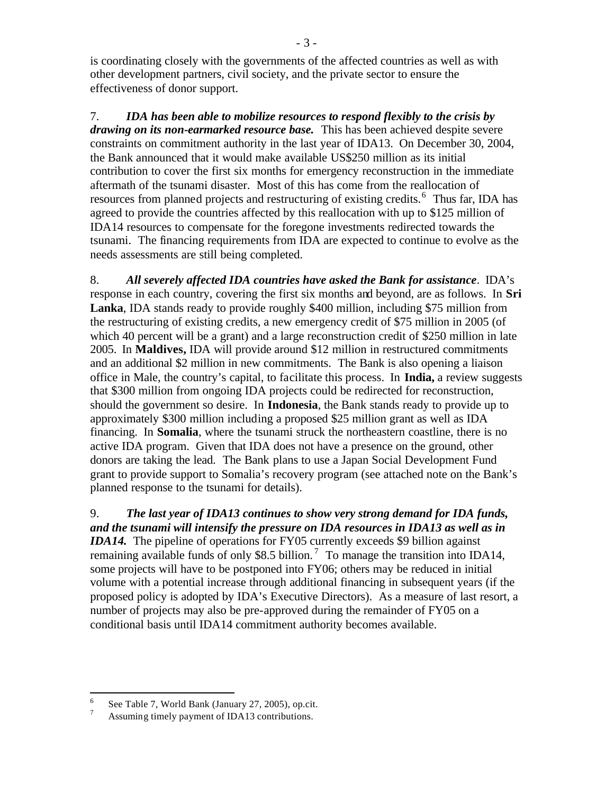is coordinating closely with the governments of the affected countries as well as with other development partners, civil society, and the private sector to ensure the effectiveness of donor support.

7. *IDA has been able to mobilize resources to respond flexibly to the crisis by drawing on its non-earmarked resource base.* This has been achieved despite severe constraints on commitment authority in the last year of IDA13.On December 30, 2004, the Bank announced that it would make available US\$250 million as its initial contribution to cover the first six months for emergency reconstruction in the immediate aftermath of the tsunami disaster. Most of this has come from the reallocation of resources from planned projects and restructuring of existing credits.<sup>6</sup> Thus far, IDA has agreed to provide the countries affected by this reallocation with up to \$125 million of IDA14 resources to compensate for the foregone investments redirected towards the tsunami. The financing requirements from IDA are expected to continue to evolve as the needs assessments are still being completed.

8. *All severely affected IDA countries have asked the Bank for assistance*. IDA's response in each country, covering the first six months and beyond, are as follows. In **Sri Lanka**, IDA stands ready to provide roughly \$400 million, including \$75 million from the restructuring of existing credits, a new emergency credit of \$75 million in 2005 (of which 40 percent will be a grant) and a large reconstruction credit of \$250 million in late 2005. In **Maldives,** IDA will provide around \$12 million in restructured commitments and an additional \$2 million in new commitments. The Bank is also opening a liaison office in Male, the country's capital, to facilitate this process. In **India,** a review suggests that \$300 million from ongoing IDA projects could be redirected for reconstruction, should the government so desire. In **Indonesia**, the Bank stands ready to provide up to approximately \$300 million including a proposed \$25 million grant as well as IDA financing. In **Somalia**, where the tsunami struck the northeastern coastline, there is no active IDA program. Given that IDA does not have a presence on the ground, other donors are taking the lead. The Bank plans to use a Japan Social Development Fund grant to provide support to Somalia's recovery program (see attached note on the Bank's planned response to the tsunami for details).

9. *The last year of IDA13 continues to show very strong demand for IDA funds, and the tsunami will intensify the pressure on IDA resources in IDA13 as well as in IDA14.* The pipeline of operations for FY05 currently exceeds \$9 billion against remaining available funds of only \$8.5 billion.<sup>7</sup> To manage the transition into IDA14, some projects will have to be postponed into FY06; others may be reduced in initial volume with a potential increase through additional financing in subsequent years (if the proposed policy is adopted by IDA's Executive Directors). As a measure of last resort, a number of projects may also be pre-approved during the remainder of FY05 on a conditional basis until IDA14 commitment authority becomes available.

 6 See Table 7, World Bank (January 27, 2005), op.cit.

<sup>7</sup> Assuming timely payment of IDA13 contributions.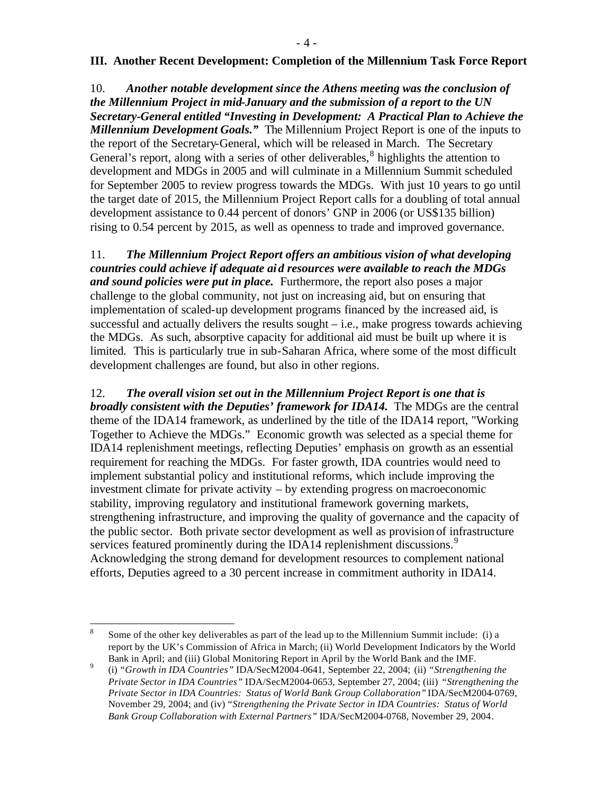### **III. Another Recent Development: Completion of the Millennium Task Force Report**

10. *Another notable development since the Athens meeting was the conclusion of the Millennium Project in mid-January and the submission of a report to the UN Secretary-General entitled "Investing in Development: A Practical Plan to Achieve the Millennium Development Goals."* The Millennium Project Report is one of the inputs to the report of the Secretary-General, which will be released in March. The Secretary General's report, along with a series of other deliverables,  $8$  highlights the attention to development and MDGs in 2005 and will culminate in a Millennium Summit scheduled for September 2005 to review progress towards the MDGs. With just 10 years to go until the target date of 2015, the Millennium Project Report calls for a doubling of total annual development assistance to 0.44 percent of donors' GNP in 2006 (or US\$135 billion) rising to 0.54 percent by 2015, as well as openness to trade and improved governance.

11. *The Millennium Project Report offers an ambitious vision of what developing countries could achieve if adequate aid resources were available to reach the MDGs and sound policies were put in place.* Furthermore, the report also poses a major challenge to the global community, not just on increasing aid, but on ensuring that implementation of scaled-up development programs financed by the increased aid, is successful and actually delivers the results sought – i.e., make progress towards achieving the MDGs. As such, absorptive capacity for additional aid must be built up where it is limited. This is particularly true in sub-Saharan Africa, where some of the most difficult development challenges are found, but also in other regions.

12. *The overall vision set out in the Millennium Project Report is one that is broadly consistent with the Deputies' framework for IDA14.* The MDGs are the central theme of the IDA14 framework, as underlined by the title of the IDA14 report, "Working Together to Achieve the MDGs." Economic growth was selected as a special theme for IDA14 replenishment meetings, reflecting Deputies' emphasis on growth as an essential requirement for reaching the MDGs. For faster growth, IDA countries would need to implement substantial policy and institutional reforms, which include improving the investment climate for private activity – by extending progress on macroeconomic stability, improving regulatory and institutional framework governing markets, strengthening infrastructure, and improving the quality of governance and the capacity of the public sector. Both private sector development as well as provision of infrastructure services featured prominently during the IDA14 replenishment discussions.<sup>9</sup> Acknowledging the strong demand for development resources to complement national efforts, Deputies agreed to a 30 percent increase in commitment authority in IDA14.

 8 Some of the other key deliverables as part of the lead up to the Millennium Summit include: (i) a report by the UK's Commission of Africa in March; (ii) World Development Indicators by the World Bank in April; and (iii) Global Monitoring Report in April by the World Bank and the IMF.

<sup>9</sup> (i) *"Growth in IDA Countries"* IDA/SecM2004-0641, September 22, 2004; (ii) *"Strengthening the Private Sector in IDA Countries"* IDA/SecM2004-0653, September 27, 2004; (iii) *"Strengthening the Private Sector in IDA Countries: Status of World Bank Group Collaboration"* IDA/SecM2004-0769, November 29, 2004; and (iv) *"Strengthening the Private Sector in IDA Countries: Status of World Bank Group Collaboration with External Partners"* IDA/SecM2004-0768, November 29, 2004*.*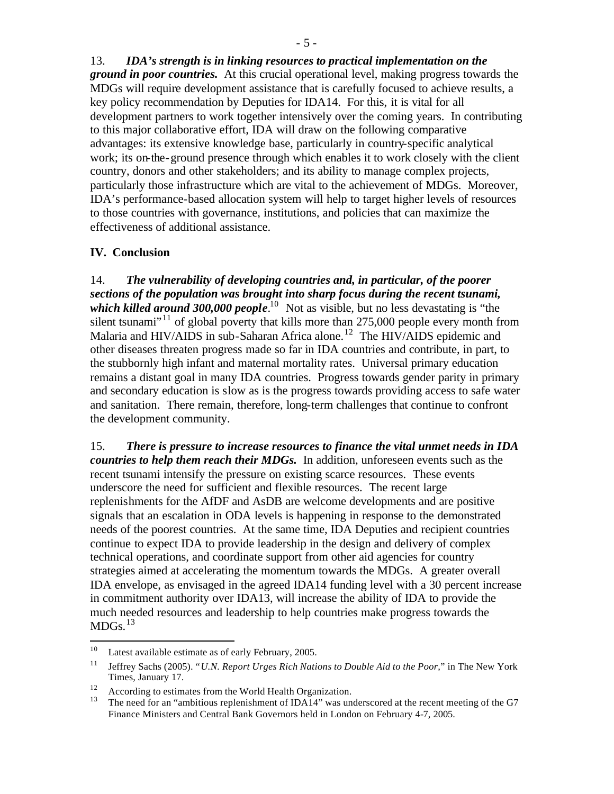13. *IDA's strength is in linking resources to practical implementation on the ground in poor countries.* At this crucial operational level, making progress towards the MDGs will require development assistance that is carefully focused to achieve results, a key policy recommendation by Deputies for IDA14. For this, it is vital for all development partners to work together intensively over the coming years. In contributing to this major collaborative effort, IDA will draw on the following comparative advantages: its extensive knowledge base, particularly in country-specific analytical work; its on-the-ground presence through which enables it to work closely with the client country, donors and other stakeholders; and its ability to manage complex projects, particularly those infrastructure which are vital to the achievement of MDGs. Moreover, IDA's performance-based allocation system will help to target higher levels of resources to those countries with governance, institutions, and policies that can maximize the effectiveness of additional assistance.

#### **IV. Conclusion**

14. *The vulnerability of developing countries and, in particular, of the poorer sections of the population was brought into sharp focus during the recent tsunami,*  which killed around 300,000 people.<sup>10</sup> Not as visible, but no less devastating is "the silent tsunami<sup> $11$ </sup> of global poverty that kills more than 275,000 people every month from Malaria and HIV/AIDS in sub-Saharan Africa alone.<sup>12</sup> The HIV/AIDS epidemic and other diseases threaten progress made so far in IDA countries and contribute, in part, to the stubbornly high infant and maternal mortality rates. Universal primary education remains a distant goal in many IDA countries. Progress towards gender parity in primary and secondary education is slow as is the progress towards providing access to safe water and sanitation. There remain, therefore, long-term challenges that continue to confront the development community.

15. *There is pressure to increase resources to finance the vital unmet needs in IDA countries to help them reach their MDGs.* In addition, unforeseen events such as the recent tsunami intensify the pressure on existing scarce resources. These events underscore the need for sufficient and flexible resources. The recent large replenishments for the AfDF and AsDB are welcome developments and are positive signals that an escalation in ODA levels is happening in response to the demonstrated needs of the poorest countries. At the same time, IDA Deputies and recipient countries continue to expect IDA to provide leadership in the design and delivery of complex technical operations, and coordinate support from other aid agencies for country strategies aimed at accelerating the momentum towards the MDGs. A greater overall IDA envelope, as envisaged in the agreed IDA14 funding level with a 30 percent increase in commitment authority over IDA13, will increase the ability of IDA to provide the much needed resources and leadership to help countries make progress towards the  $MDGs.<sup>13</sup>$ 

 $\frac{1}{10}$ Latest available estimate as of early February, 2005.

<sup>11</sup> Jeffrey Sachs (2005). "*U.N. Report Urges Rich Nations to Double Aid to the Poor,*" in The New York Times, January 17.

<sup>&</sup>lt;sup>12</sup> According to estimates from the World Health Organization.

<sup>13</sup> The need for an "ambitious replenishment of IDA14" was underscored at the recent meeting of the G7 Finance Ministers and Central Bank Governors held in London on February 4-7, 2005.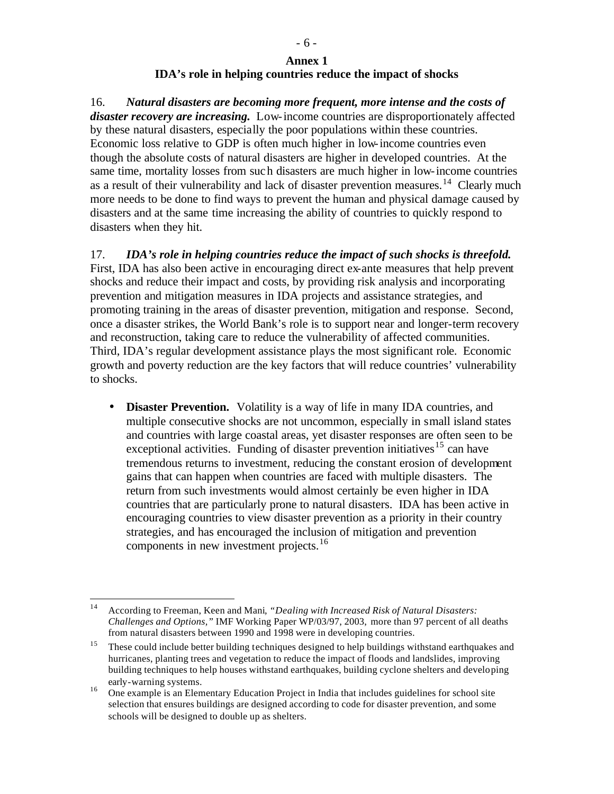### **Annex 1 IDA's role in helping countries reduce the impact of shocks**

16. *Natural disasters are becoming more frequent, more intense and the costs of disaster recovery are increasing.*Low-income countries are disproportionately affected by these natural disasters, especially the poor populations within these countries. Economic loss relative to GDP is often much higher in low-income countries even though the absolute costs of natural disasters are higher in developed countries. At the same time, mortality losses from such disasters are much higher in low-income countries as a result of their vulnerability and lack of disaster prevention measures.<sup>14</sup> Clearly much more needs to be done to find ways to prevent the human and physical damage caused by disasters and at the same time increasing the ability of countries to quickly respond to disasters when they hit.

17. *IDA's role in helping countries reduce the impact of such shocks is threefold.* First, IDA has also been active in encouraging direct ex-ante measures that help prevent shocks and reduce their impact and costs, by providing risk analysis and incorporating prevention and mitigation measures in IDA projects and assistance strategies, and promoting training in the areas of disaster prevention, mitigation and response. Second, once a disaster strikes, the World Bank's role is to support near and longer-term recovery and reconstruction, taking care to reduce the vulnerability of affected communities. Third, IDA's regular development assistance plays the most significant role. Economic growth and poverty reduction are the key factors that will reduce countries' vulnerability to shocks.

• **Disaster Prevention.** Volatility is a way of life in many IDA countries, and multiple consecutive shocks are not uncommon, especially in small island states and countries with large coastal areas, yet disaster responses are often seen to be exceptional activities. Funding of disaster prevention initiatives<sup>15</sup> can have tremendous returns to investment, reducing the constant erosion of development gains that can happen when countries are faced with multiple disasters. The return from such investments would almost certainly be even higher in IDA countries that are particularly prone to natural disasters. IDA has been active in encouraging countries to view disaster prevention as a priority in their country strategies, and has encouraged the inclusion of mitigation and prevention components in new investment projects.<sup>16</sup>

 $14<sup>1</sup>$ <sup>14</sup> According to Freeman, Keen and Mani*, "Dealing with Increased Risk of Natural Disasters: Challenges and Options,"* IMF Working Paper WP/03/97, 2003, more than 97 percent of all deaths from natural disasters between 1990 and 1998 were in developing countries.

<sup>&</sup>lt;sup>15</sup> These could include better building techniques designed to help buildings withstand earthquakes and hurricanes, planting trees and vegetation to reduce the impact of floods and landslides, improving building techniques to help houses withstand earthquakes, building cyclone shelters and developing early-warning systems.

<sup>&</sup>lt;sup>16</sup> One example is an Elementary Education Project in India that includes guidelines for school site selection that ensures buildings are designed according to code for disaster prevention, and some schools will be designed to double up as shelters.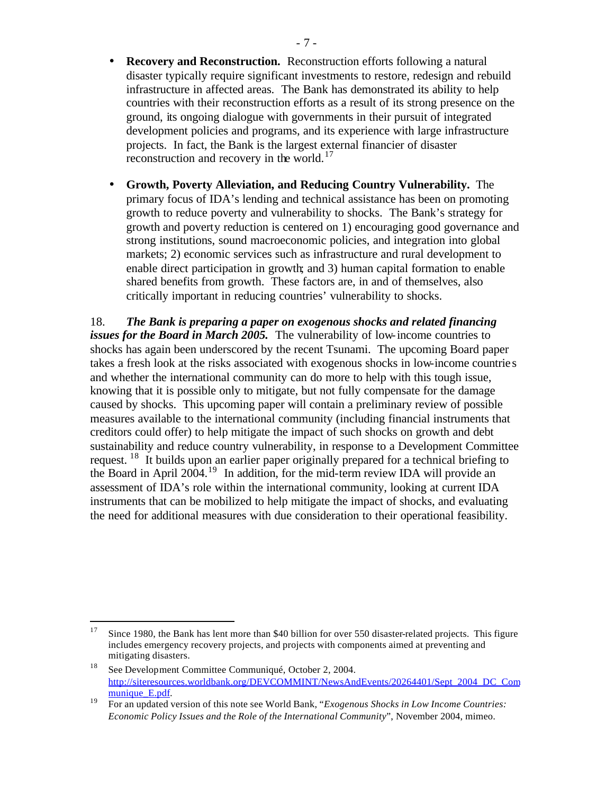- **Recovery and Reconstruction.** Reconstruction efforts following a natural disaster typically require significant investments to restore, redesign and rebuild infrastructure in affected areas. The Bank has demonstrated its ability to help countries with their reconstruction efforts as a result of its strong presence on the ground, its ongoing dialogue with governments in their pursuit of integrated development policies and programs, and its experience with large infrastructure projects. In fact, the Bank is the largest external financier of disaster reconstruction and recovery in the world. $17$
- **Growth, Poverty Alleviation, and Reducing Country Vulnerability.** The primary focus of IDA's lending and technical assistance has been on promoting growth to reduce poverty and vulnerability to shocks. The Bank's strategy for growth and poverty reduction is centered on 1) encouraging good governance and strong institutions, sound macroeconomic policies, and integration into global markets; 2) economic services such as infrastructure and rural development to enable direct participation in growth; and 3) human capital formation to enable shared benefits from growth. These factors are, in and of themselves, also critically important in reducing countries' vulnerability to shocks.

18. *The Bank is preparing a paper on exogenous shocks and related financing issues for the Board in March 2005.* The vulnerability of low-income countries to shocks has again been underscored by the recent Tsunami. The upcoming Board paper takes a fresh look at the risks associated with exogenous shocks in low-income countrie s and whether the international community can do more to help with this tough issue, knowing that it is possible only to mitigate, but not fully compensate for the damage caused by shocks. This upcoming paper will contain a preliminary review of possible measures available to the international community (including financial instruments that creditors could offer) to help mitigate the impact of such shocks on growth and debt sustainability and reduce country vulnerability, in response to a Development Committee request. <sup>18</sup> It builds upon an earlier paper originally prepared for a technical briefing to the Board in April 2004.<sup>19</sup> In addition, for the mid-term review IDA will provide an assessment of IDA's role within the international community, looking at current IDA instruments that can be mobilized to help mitigate the impact of shocks, and evaluating the need for additional measures with due consideration to their operational feasibility.

 $\overline{a}$ 

<sup>&</sup>lt;sup>17</sup> Since 1980, the Bank has lent more than \$40 billion for over 550 disaster-related projects. This figure includes emergency recovery projects, and projects with components aimed at preventing and mitigating disasters.

<sup>18</sup> See Development Committee Communiqué, October 2, 2004. http://siteresources.worldbank.org/DEVCOMMINT/NewsAndEvents/20264401/Sept\_2004\_DC\_Com munique\_E.pdf.

<sup>19</sup> For an updated version of this note see World Bank, "*Exogenous Shocks in Low Income Countries: Economic Policy Issues and the Role of the International Community*", November 2004, mimeo.